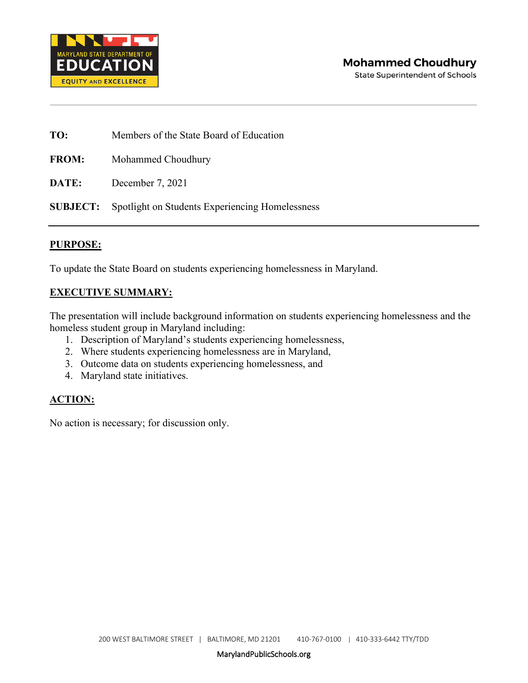

**State Superintendent of Schools** 

| TO:          | Members of the State Board of Education                         |  |  |
|--------------|-----------------------------------------------------------------|--|--|
| <b>FROM:</b> | Mohammed Choudhury                                              |  |  |
| DATE:        | December 7, 2021                                                |  |  |
|              | <b>SUBJECT:</b> Spotlight on Students Experiencing Homelessness |  |  |

#### **PURPOSE:**

To update the State Board on students experiencing homelessness in Maryland.

#### **EXECUTIVE SUMMARY:**

The presentation will include background information on students experiencing homelessness and the homeless student group in Maryland including:

- 1. Description of Maryland's students experiencing homelessness,
- 2. Where students experiencing homelessness are in Maryland,
- 3. Outcome data on students experiencing homelessness, and
- 4. Maryland state initiatives.

#### **ACTION:**

No action is necessary; for discussion only.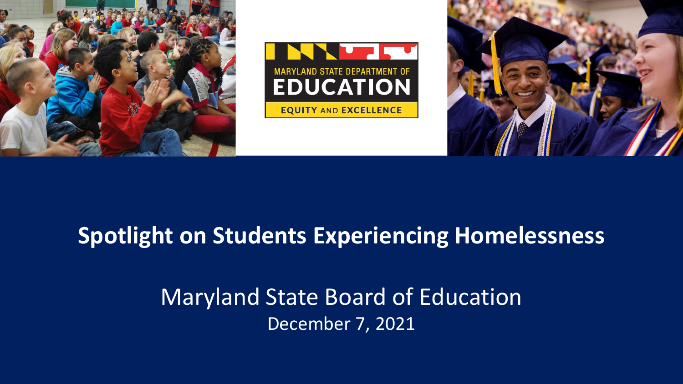





# **Spotlight on Students Experiencing Homelessness**

# Maryland State Board of Education December 7, 2021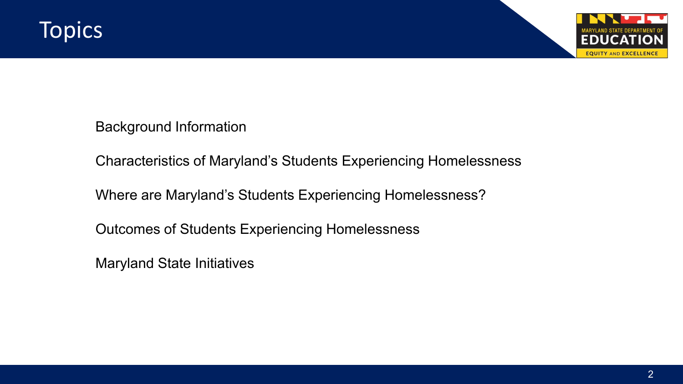

Background Information

Characteristics of Maryland's Students Experiencing Homelessness

Where are Maryland's Students Experiencing Homelessness?

Outcomes of Students Experiencing Homelessness

Maryland State Initiatives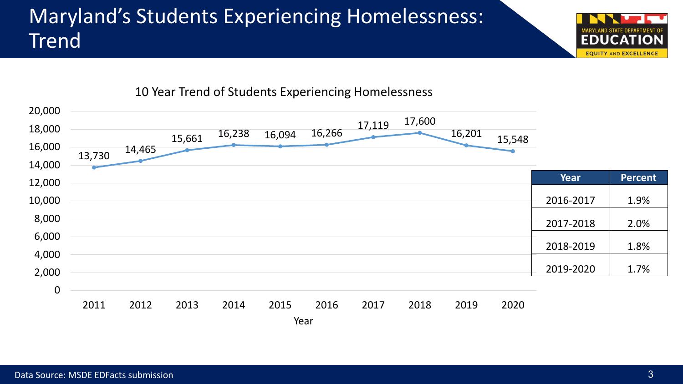# Maryland's Students Experiencing Homelessness: Trend



10 Year Trend of Students Experiencing Homelessness

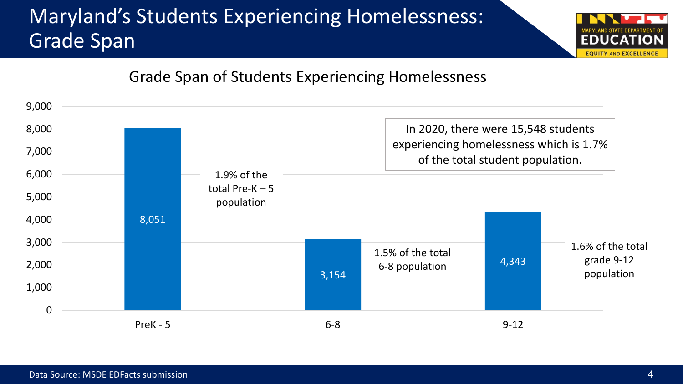# Maryland's Students Experiencing Homelessness: Grade Span



#### Grade Span of Students Experiencing Homelessness

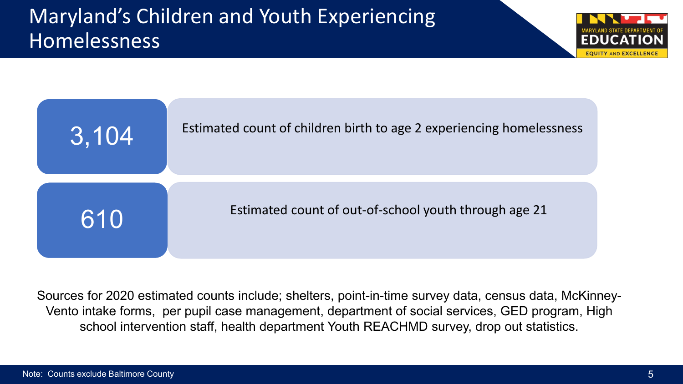## Maryland's Children and Youth Experiencing Homelessness





Sources for 2020 estimated counts include; shelters, point-in-time survey data, census data, McKinney-Vento intake forms, per pupil case management, department of social services, GED program, High school intervention staff, health department Youth REACHMD survey, drop out statistics.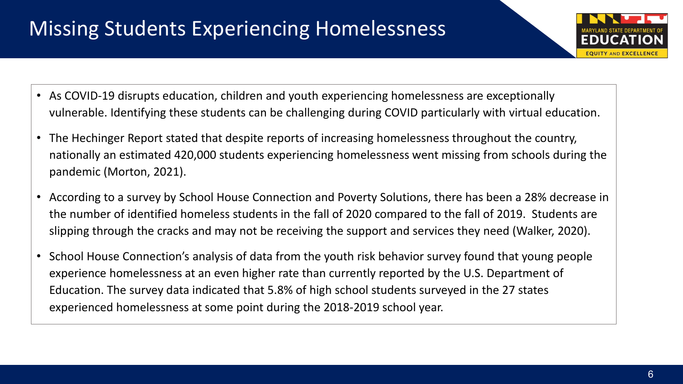# Missing Students Experiencing Homelessness

- As COVID-19 disrupts education, children and youth experiencing homelessness are exceptionally vulnerable. Identifying these students can be challenging during COVID particularly with virtual education.
- The Hechinger Report stated that despite reports of increasing homelessness throughout the country, nationally an estimated 420,000 students experiencing homelessness went missing from schools during the pandemic (Morton, 2021).
- According to a survey by School House Connection and Poverty Solutions, there has been a 28% decrease in the number of identified homeless students in the fall of 2020 compared to the fall of 2019. Students are slipping through the cracks and may not be receiving the support and services they need (Walker, 2020).
- School House Connection's analysis of data from the youth risk behavior survey found that young people experience homelessness at an even higher rate than currently reported by the U.S. Department of Education. The survey data indicated that 5.8% of high school students surveyed in the 27 states experienced homelessness at some point during the 2018-2019 school year.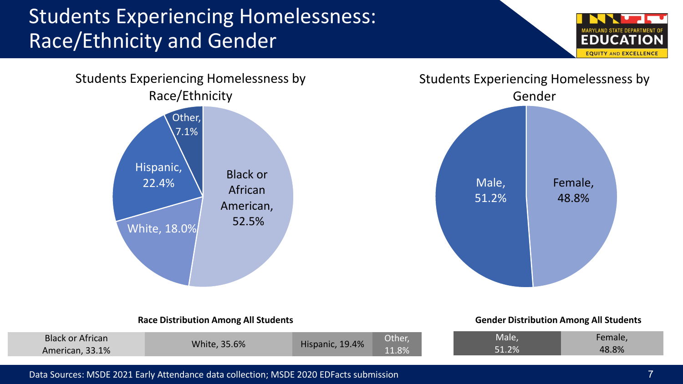## Students Experiencing Homelessness: Race/Ethnicity and Gender







#### **Race Distribution Among All Students**

#### **Gender Distribution Among All Students**

| 48.8%<br>51 704<br>11.8%<br>33.1%<br>чісап, | <b>Black</b><br>k or African | 6%<br>$\sim$ $-$ | $0.4\%$ | Other, | Male | чнањ. |
|---------------------------------------------|------------------------------|------------------|---------|--------|------|-------|
|                                             |                              |                  |         |        |      |       |

#### Data Sources: MSDE 2021 Early Attendance data collection; MSDE 2020 EDFacts submission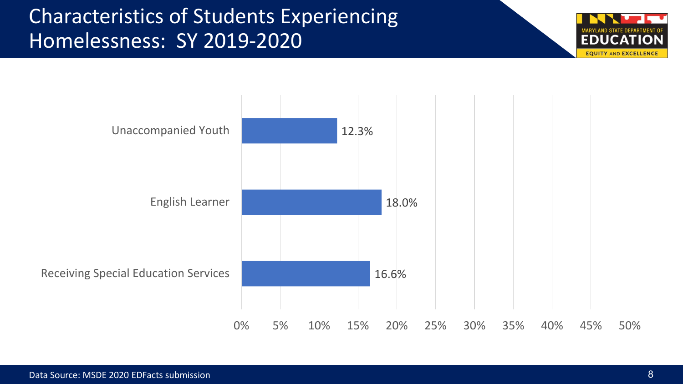## Characteristics of Students Experiencing Homelessness: SY 2019-2020



**EQUITY AND EXCELLENCE**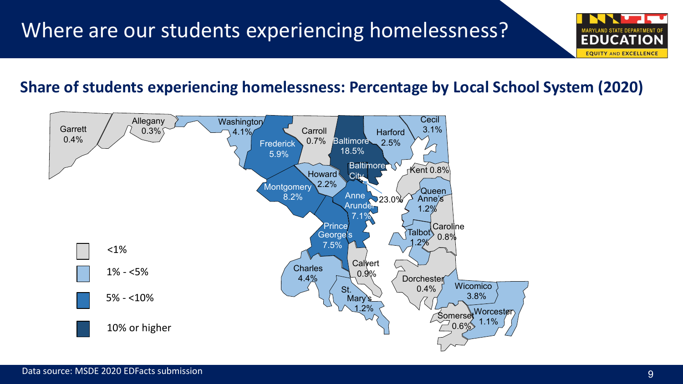#### **Share of students experiencing homelessness: Percentage by Local School System (2020)**



**EQUITY AND EXCELLENCE**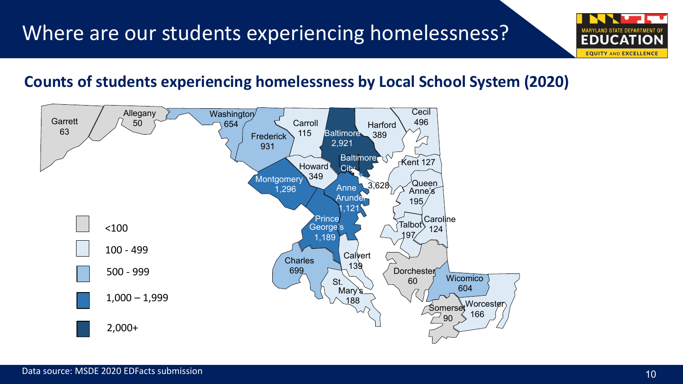#### **Counts of students experiencing homelessness by Local School System (2020)**



**EQUITY AND EXCELLENCE**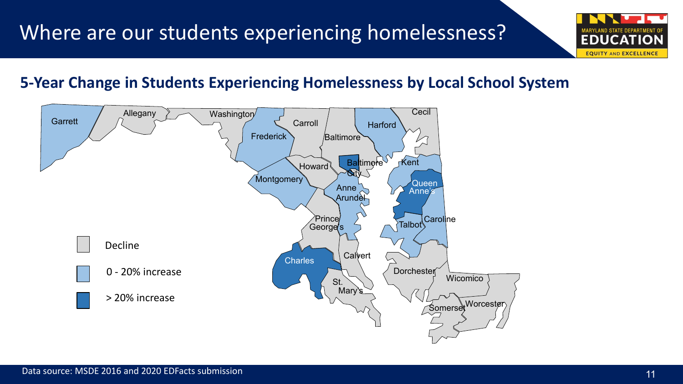

#### **5-Year Change in Students Experiencing Homelessness by Local School System**

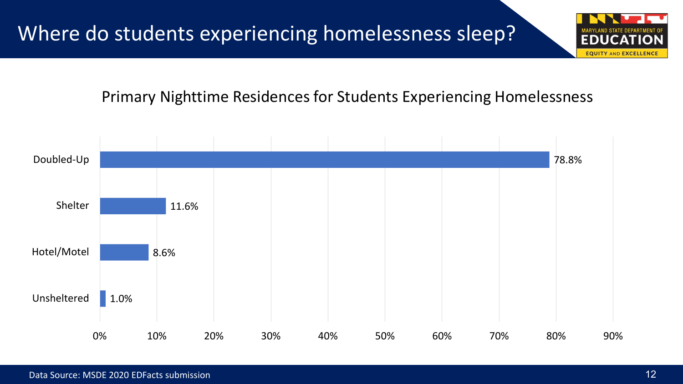Primary Nighttime Residences for Students Experiencing Homelessness



**EQUITY AND EXCELLENC**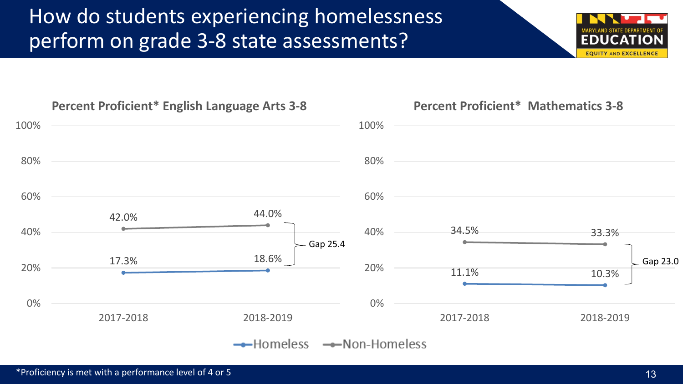## How do students experiencing homelessness perform on grade 3-8 state assessments?



#### **Percent Proficient\* Mathematics 3-8**

\*Proficiency is met with a performance level of 4 or 5

**EQUITY AND EXCELLENC**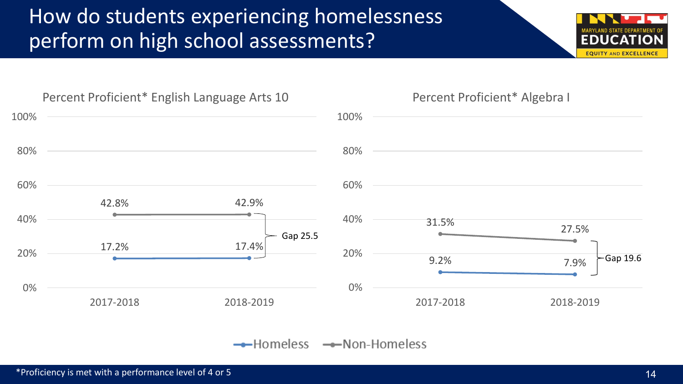## How do students experiencing homelessness perform on high school assessments?





 $\rightarrow$ Homeless  $\rightarrow$ Non-Homeless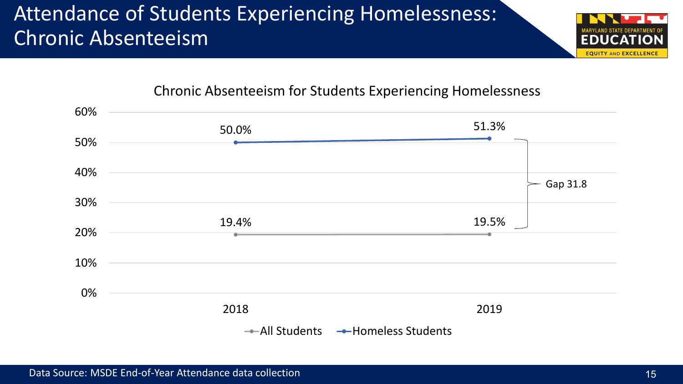## Attendance of Students Experiencing Homelessness: Chronic Absenteeism



#### Chronic Absenteeism for Students Experiencing Homelessness

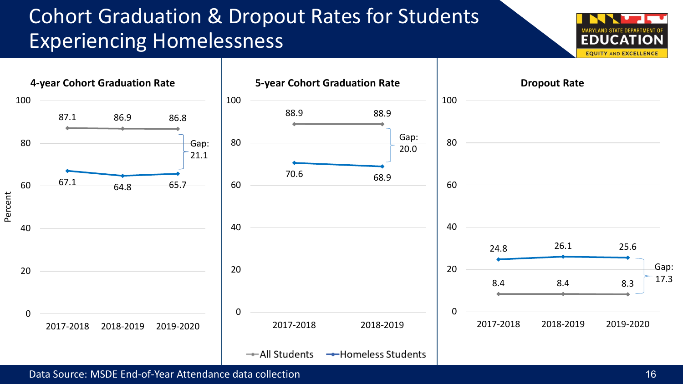## Cohort Graduation & Dropout Rates for Students Experiencing Homelessness





Data Source: MSDE End-of-Year Attendance data collection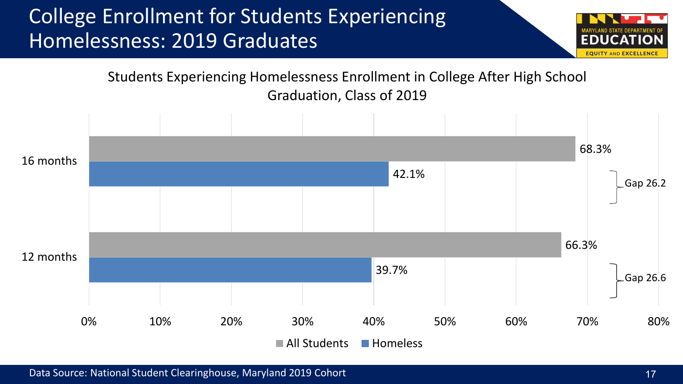## College Enrollment for Students Experiencing Homelessness: 2019 Graduates



Students Experiencing Homelessness Enrollment in College After High School Graduation, Class of 2019

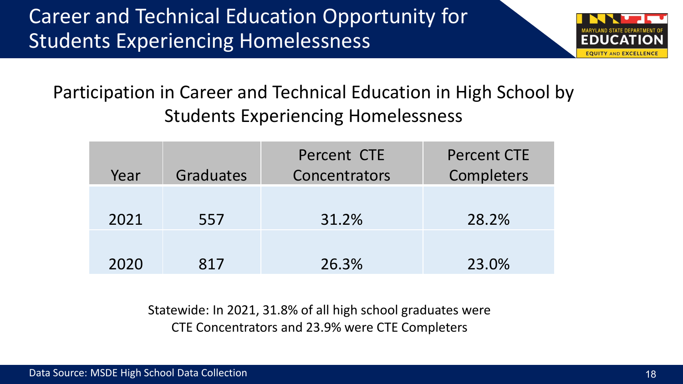

#### Participation in Career and Technical Education in High School by Students Experiencing Homelessness

| Year | Graduates | Percent CTE<br>Concentrators | <b>Percent CTE</b><br>Completers |
|------|-----------|------------------------------|----------------------------------|
| 2021 | 557       | 31.2%                        | 28.2%                            |
| 2020 | 817       | 26.3%                        | 23.0%                            |

Statewide: In 2021, 31.8% of all high school graduates were CTE Concentrators and 23.9% were CTE Completers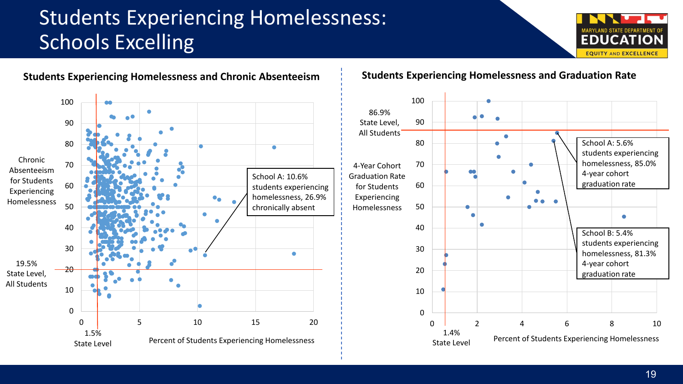# Students Experiencing Homelessness: Schools Excelling



School A: 5.6%

4-year cohort graduation rate

School B: 5.4%

4-year cohort graduation rate

students experiencing homelessness, 81.3%

students experiencing homelessness, 85.0%



#### **Students Experiencing Homelessness and Graduation Rate**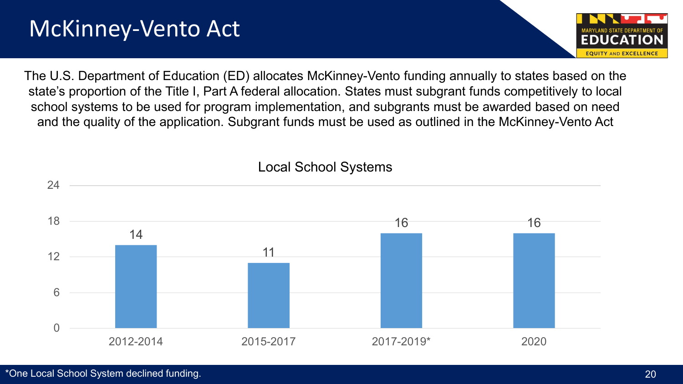# McKinney-Vento Act



The U.S. Department of Education (ED) allocates McKinney-Vento funding annually to states based on the state's proportion of the Title I, Part A federal allocation. States must subgrant funds competitively to local school systems to be used for program implementation, and subgrants must be awarded based on need and the quality of the application. Subgrant funds must be used as outlined in the McKinney-Vento Act



#### Local School Systems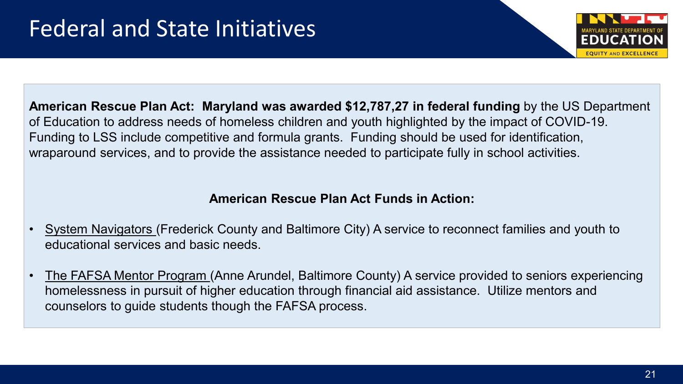

**American Rescue Plan Act: Maryland was awarded \$12,787,27 in federal funding** by the US Department of Education to address needs of homeless children and youth highlighted by the impact of COVID-19. Funding to LSS include competitive and formula grants. Funding should be used for identification, wraparound services, and to provide the assistance needed to participate fully in school activities.

#### **American Rescue Plan Act Funds in Action:**

- System Navigators (Frederick County and Baltimore City) A service to reconnect families and youth to educational services and basic needs.
- The FAFSA Mentor Program (Anne Arundel, Baltimore County) A service provided to seniors experiencing homelessness in pursuit of higher education through financial aid assistance. Utilize mentors and counselors to guide students though the FAFSA process.